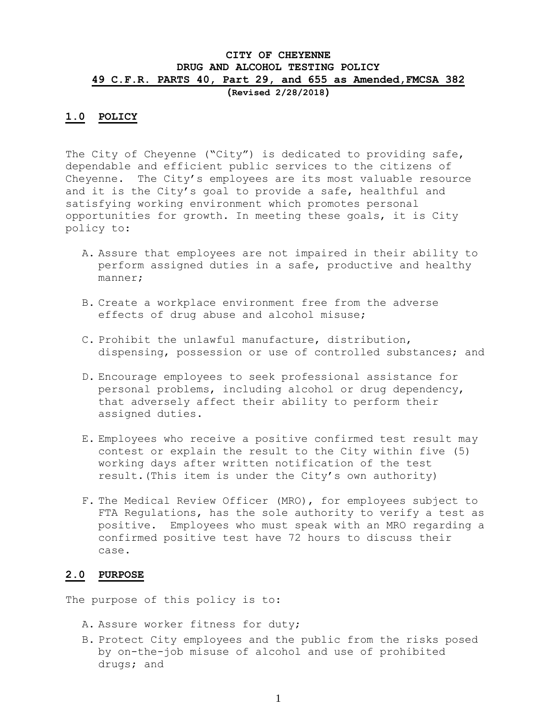# **CITY OF CHEYENNE DRUG AND ALCOHOL TESTING POLICY 49 C.F.R. PARTS 40, Part 29, and 655 as Amended,FMCSA 382**

**(Revised 2/28/2018)**

### **1.0 POLICY**

The City of Cheyenne ("City") is dedicated to providing safe, dependable and efficient public services to the citizens of Cheyenne. The City's employees are its most valuable resource and it is the City's goal to provide a safe, healthful and satisfying working environment which promotes personal opportunities for growth. In meeting these goals, it is City policy to:

- A. Assure that employees are not impaired in their ability to perform assigned duties in a safe, productive and healthy manner;
- B. Create a workplace environment free from the adverse effects of drug abuse and alcohol misuse;
- C. Prohibit the unlawful manufacture, distribution, dispensing, possession or use of controlled substances; and
- D. Encourage employees to seek professional assistance for personal problems, including alcohol or drug dependency, that adversely affect their ability to perform their assigned duties.
- E. Employees who receive a positive confirmed test result may contest or explain the result to the City within five (5) working days after written notification of the test result.(This item is under the City's own authority)
- F. The Medical Review Officer (MRO), for employees subject to FTA Regulations, has the sole authority to verify a test as positive. Employees who must speak with an MRO regarding a confirmed positive test have 72 hours to discuss their case.

## **2.0 PURPOSE**

The purpose of this policy is to:

- A. Assure worker fitness for duty;
- B. Protect City employees and the public from the risks posed by on-the-job misuse of alcohol and use of prohibited drugs; and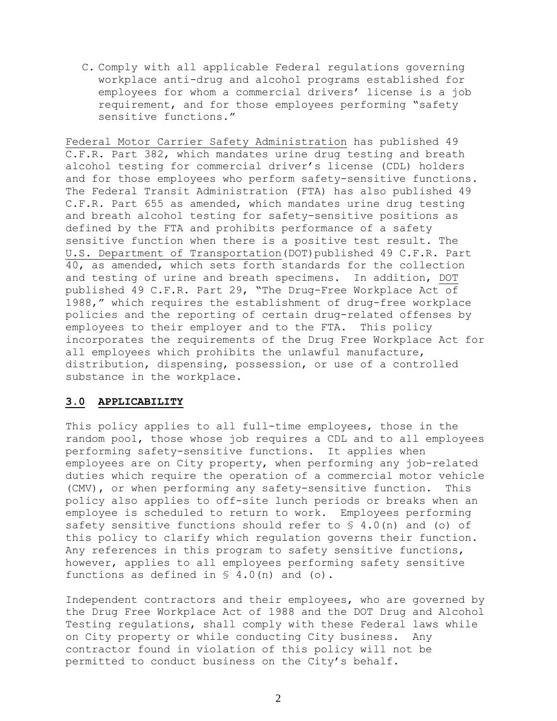C. Comply with all applicable Federal regulations governing workplace anti-drug and alcohol programs established for employees for whom a commercial drivers' license is a job requirement, and for those employees performing "safety sensitive functions."

Federal Motor Carrier Safety Administration has published 49 C.F.R. Part 382, which mandates urine drug testing and breath alcohol testing for commercial driver's license (CDL) holders and for those employees who perform safety-sensitive functions. The Federal Transit Administration (FTA) has also published 49 C.F.R. Part 655 as amended, which mandates urine drug testing and breath alcohol testing for safety-sensitive positions as defined by the FTA and prohibits performance of a safety sensitive function when there is a positive test result. The U.S. Department of Transportation(DOT)published 49 C.F.R. Part 40, as amended, which sets forth standards for the collection and testing of urine and breath specimens. In addition, DOT published 49 C.F.R. Part 29, "The Drug-Free Workplace Act of 1988," which requires the establishment of drug-free workplace policies and the reporting of certain drug-related offenses by employees to their employer and to the FTA. This policy incorporates the requirements of the Drug Free Workplace Act for all employees which prohibits the unlawful manufacture, distribution, dispensing, possession, or use of a controlled substance in the workplace.

### **3.0 APPLICABILITY**

This policy applies to all full-time employees, those in the random pool, those whose job requires a CDL and to all employees performing safety-sensitive functions. It applies when employees are on City property, when performing any job-related duties which require the operation of a commercial motor vehicle (CMV), or when performing any safety-sensitive function. This policy also applies to off-site lunch periods or breaks when an employee is scheduled to return to work. Employees performing safety sensitive functions should refer to § 4.0(n) and (o) of this policy to clarify which regulation governs their function. Any references in this program to safety sensitive functions, however, applies to all employees performing safety sensitive functions as defined in  $\leq 4.0$  (n) and (o).

Independent contractors and their employees, who are governed by the Drug Free Workplace Act of 1988 and the DOT Drug and Alcohol Testing regulations, shall comply with these Federal laws while on City property or while conducting City business. Any contractor found in violation of this policy will not be permitted to conduct business on the City's behalf.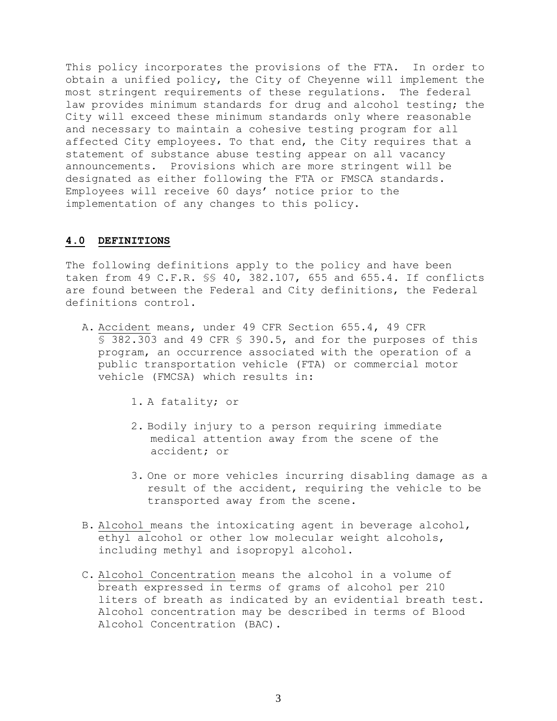This policy incorporates the provisions of the FTA. In order to obtain a unified policy, the City of Cheyenne will implement the most stringent requirements of these regulations. The federal law provides minimum standards for drug and alcohol testing; the City will exceed these minimum standards only where reasonable and necessary to maintain a cohesive testing program for all affected City employees. To that end, the City requires that a statement of substance abuse testing appear on all vacancy announcements. Provisions which are more stringent will be designated as either following the FTA or FMSCA standards. Employees will receive 60 days' notice prior to the implementation of any changes to this policy.

## **4.0 DEFINITIONS**

The following definitions apply to the policy and have been taken from 49 C.F.R. §§ 40, 382.107, 655 and 655.4. If conflicts are found between the Federal and City definitions, the Federal definitions control.

- A. Accident means, under 49 CFR Section 655.4, 49 CFR § 382.303 and 49 CFR § 390.5, and for the purposes of this program, an occurrence associated with the operation of a public transportation vehicle (FTA) or commercial motor vehicle (FMCSA) which results in:
	- 1. A fatality; or
	- 2. Bodily injury to a person requiring immediate medical attention away from the scene of the accident; or
	- 3. One or more vehicles incurring disabling damage as a result of the accident, requiring the vehicle to be transported away from the scene.
- B. Alcohol means the intoxicating agent in beverage alcohol, ethyl alcohol or other low molecular weight alcohols, including methyl and isopropyl alcohol.
- C. Alcohol Concentration means the alcohol in a volume of breath expressed in terms of grams of alcohol per 210 liters of breath as indicated by an evidential breath test. Alcohol concentration may be described in terms of Blood Alcohol Concentration (BAC).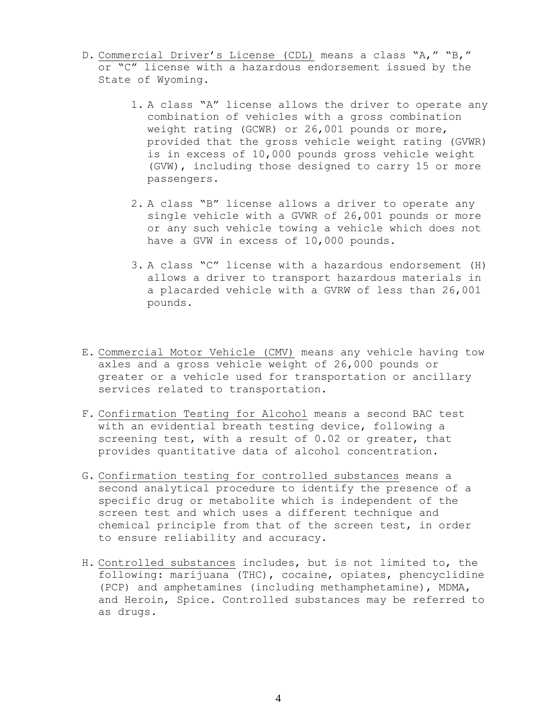- D. Commercial Driver's License (CDL) means a class "A," "B," or "C" license with a hazardous endorsement issued by the State of Wyoming.
	- 1. A class "A" license allows the driver to operate any combination of vehicles with a gross combination weight rating (GCWR) or 26,001 pounds or more, provided that the gross vehicle weight rating (GVWR) is in excess of 10,000 pounds gross vehicle weight (GVW), including those designed to carry 15 or more passengers.
	- 2. A class "B" license allows a driver to operate any single vehicle with a GVWR of 26,001 pounds or more or any such vehicle towing a vehicle which does not have a GVW in excess of 10,000 pounds.
	- 3. A class "C" license with a hazardous endorsement (H) allows a driver to transport hazardous materials in a placarded vehicle with a GVRW of less than 26,001 pounds.
- E. Commercial Motor Vehicle (CMV) means any vehicle having tow axles and a gross vehicle weight of 26,000 pounds or greater or a vehicle used for transportation or ancillary services related to transportation.
- F. Confirmation Testing for Alcohol means a second BAC test with an evidential breath testing device, following a screening test, with a result of 0.02 or greater, that provides quantitative data of alcohol concentration.
- G. Confirmation testing for controlled substances means a second analytical procedure to identify the presence of a specific drug or metabolite which is independent of the screen test and which uses a different technique and chemical principle from that of the screen test, in order to ensure reliability and accuracy.
- H. Controlled substances includes, but is not limited to, the following: marijuana (THC), cocaine, opiates, phencyclidine (PCP) and amphetamines (including methamphetamine), MDMA, and Heroin, Spice. Controlled substances may be referred to as drugs.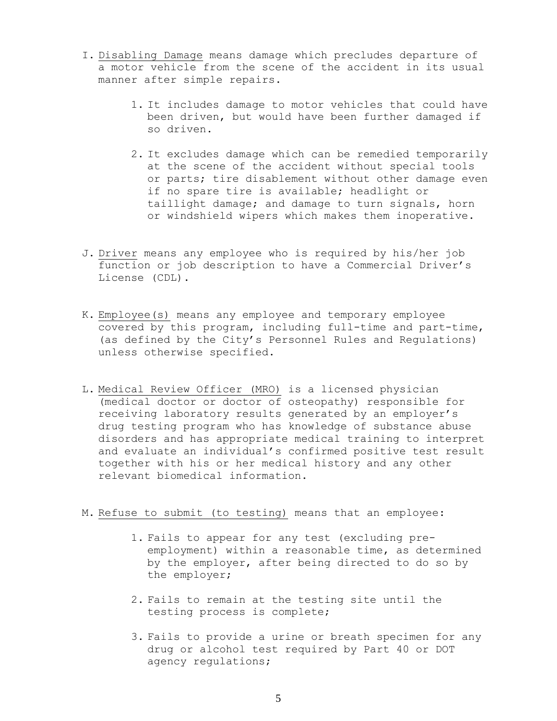- I. Disabling Damage means damage which precludes departure of a motor vehicle from the scene of the accident in its usual manner after simple repairs.
	- 1. It includes damage to motor vehicles that could have been driven, but would have been further damaged if so driven.
	- 2. It excludes damage which can be remedied temporarily at the scene of the accident without special tools or parts; tire disablement without other damage even if no spare tire is available; headlight or taillight damage; and damage to turn signals, horn or windshield wipers which makes them inoperative.
- J. Driver means any employee who is required by his/her job function or job description to have a Commercial Driver's License (CDL).
- K. Employee(s) means any employee and temporary employee covered by this program, including full-time and part-time, (as defined by the City's Personnel Rules and Regulations) unless otherwise specified.
- L. Medical Review Officer (MRO) is a licensed physician (medical doctor or doctor of osteopathy) responsible for receiving laboratory results generated by an employer's drug testing program who has knowledge of substance abuse disorders and has appropriate medical training to interpret and evaluate an individual's confirmed positive test result together with his or her medical history and any other relevant biomedical information.
- M. Refuse to submit (to testing) means that an employee:
	- 1. Fails to appear for any test (excluding preemployment) within a reasonable time, as determined by the employer, after being directed to do so by the employer;
	- 2. Fails to remain at the testing site until the testing process is complete;
	- 3. Fails to provide a urine or breath specimen for any drug or alcohol test required by Part 40 or DOT agency regulations;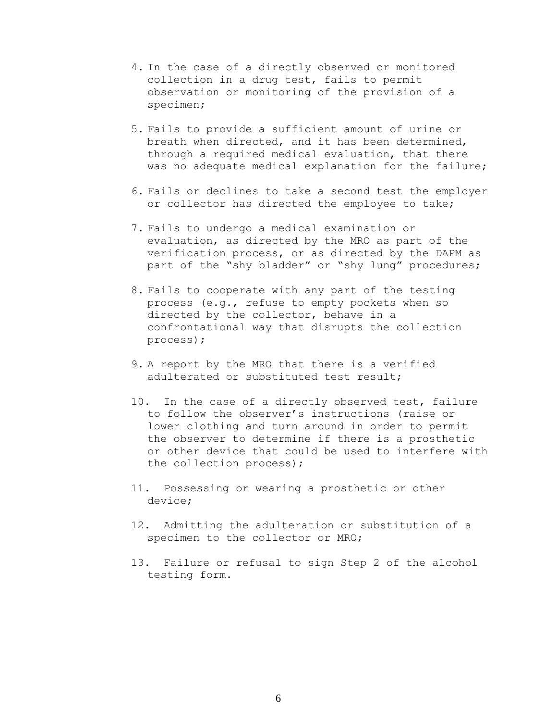- 4. In the case of a directly observed or monitored collection in a drug test, fails to permit observation or monitoring of the provision of a specimen;
- 5. Fails to provide a sufficient amount of urine or breath when directed, and it has been determined, through a required medical evaluation, that there was no adequate medical explanation for the failure;
- 6. Fails or declines to take a second test the employer or collector has directed the employee to take;
- 7. Fails to undergo a medical examination or evaluation, as directed by the MRO as part of the verification process, or as directed by the DAPM as part of the "shy bladder" or "shy lung" procedures;
- 8. Fails to cooperate with any part of the testing process (e.g., refuse to empty pockets when so directed by the collector, behave in a confrontational way that disrupts the collection process);
- 9. A report by the MRO that there is a verified adulterated or substituted test result;
- 10. In the case of a directly observed test, failure to follow the observer's instructions (raise or lower clothing and turn around in order to permit the observer to determine if there is a prosthetic or other device that could be used to interfere with the collection process);
- 11. Possessing or wearing a prosthetic or other device;
- 12. Admitting the adulteration or substitution of a specimen to the collector or MRO;
- 13. Failure or refusal to sign Step 2 of the alcohol testing form.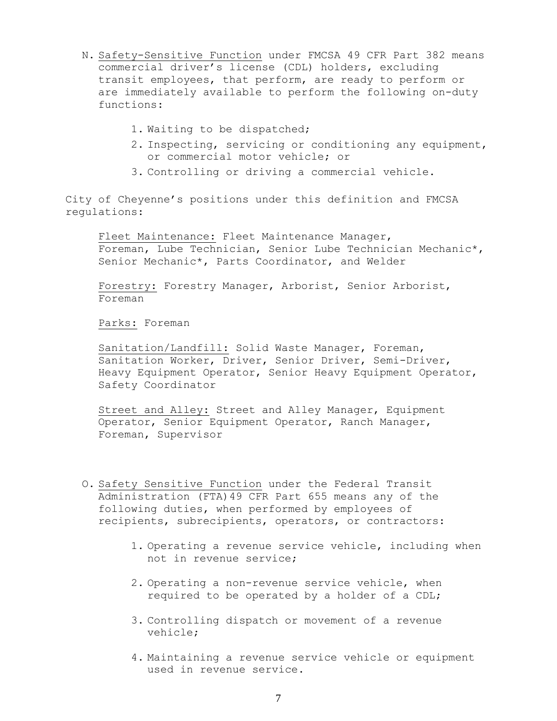- N. Safety-Sensitive Function under FMCSA 49 CFR Part 382 means commercial driver's license (CDL) holders, excluding transit employees, that perform, are ready to perform or are immediately available to perform the following on-duty functions:
	- 1. Waiting to be dispatched;
	- 2. Inspecting, servicing or conditioning any equipment, or commercial motor vehicle; or
	- 3. Controlling or driving a commercial vehicle.

City of Cheyenne's positions under this definition and FMCSA regulations:

Fleet Maintenance: Fleet Maintenance Manager, Foreman, Lube Technician, Senior Lube Technician Mechanic\*, Senior Mechanic\*, Parts Coordinator, and Welder

Forestry: Forestry Manager, Arborist, Senior Arborist, Foreman

Parks: Foreman

Sanitation/Landfill: Solid Waste Manager, Foreman, Sanitation Worker, Driver, Senior Driver, Semi-Driver, Heavy Equipment Operator, Senior Heavy Equipment Operator, Safety Coordinator

Street and Alley: Street and Alley Manager, Equipment Operator, Senior Equipment Operator, Ranch Manager, Foreman, Supervisor

- O. Safety Sensitive Function under the Federal Transit Administration (FTA)49 CFR Part 655 means any of the following duties, when performed by employees of recipients, subrecipients, operators, or contractors:
	- 1. Operating a revenue service vehicle, including when not in revenue service;
	- 2. Operating a non-revenue service vehicle, when required to be operated by a holder of a CDL;
	- 3. Controlling dispatch or movement of a revenue vehicle;
	- 4. Maintaining a revenue service vehicle or equipment used in revenue service.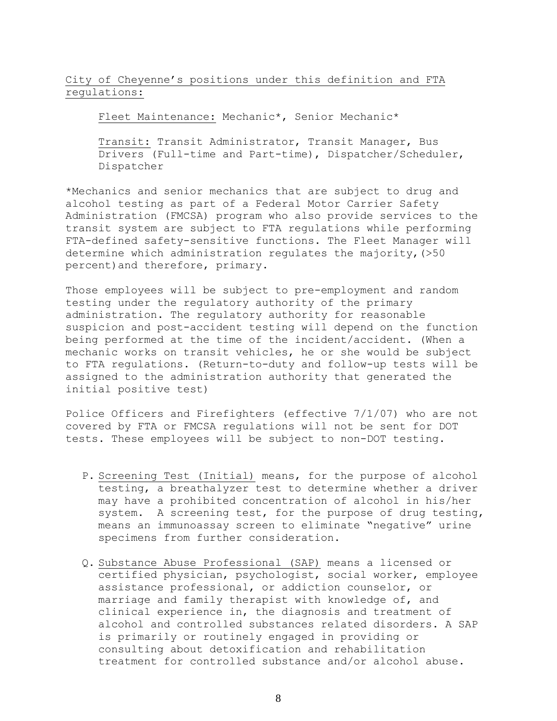City of Cheyenne's positions under this definition and FTA regulations:

Fleet Maintenance: Mechanic\*, Senior Mechanic\*

Transit: Transit Administrator, Transit Manager, Bus Drivers (Full-time and Part-time), Dispatcher/Scheduler, Dispatcher

\*Mechanics and senior mechanics that are subject to drug and alcohol testing as part of a Federal Motor Carrier Safety Administration (FMCSA) program who also provide services to the transit system are subject to FTA regulations while performing FTA-defined safety-sensitive functions. The Fleet Manager will determine which administration regulates the majority, (>50 percent)and therefore, primary.

Those employees will be subject to pre-employment and random testing under the regulatory authority of the primary administration. The regulatory authority for reasonable suspicion and post-accident testing will depend on the function being performed at the time of the incident/accident. (When a mechanic works on transit vehicles, he or she would be subject to FTA regulations. (Return-to-duty and follow-up tests will be assigned to the administration authority that generated the initial positive test)

Police Officers and Firefighters (effective 7/1/07) who are not covered by FTA or FMCSA regulations will not be sent for DOT tests. These employees will be subject to non-DOT testing.

- P. Screening Test (Initial) means, for the purpose of alcohol testing, a breathalyzer test to determine whether a driver may have a prohibited concentration of alcohol in his/her system. A screening test, for the purpose of drug testing, means an immunoassay screen to eliminate "negative" urine specimens from further consideration.
- Q. Substance Abuse Professional (SAP) means a licensed or certified physician, psychologist, social worker, employee assistance professional, or addiction counselor, or marriage and family therapist with knowledge of, and clinical experience in, the diagnosis and treatment of alcohol and controlled substances related disorders. A SAP is primarily or routinely engaged in providing or consulting about detoxification and rehabilitation treatment for controlled substance and/or alcohol abuse.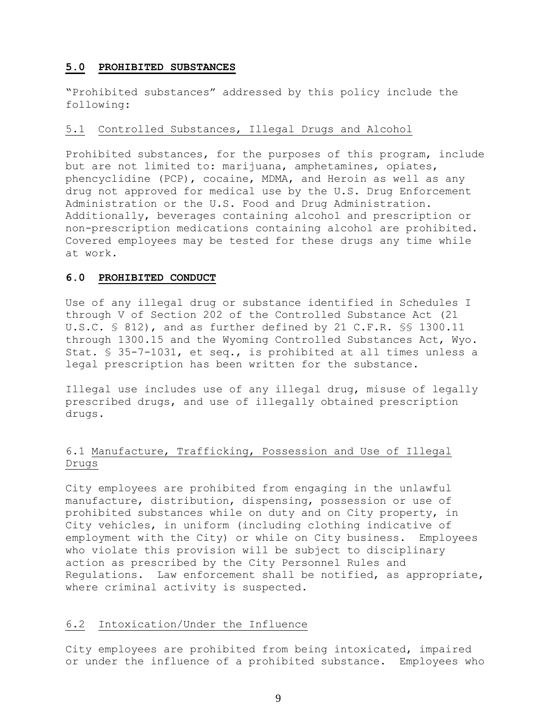## **5.0 PROHIBITED SUBSTANCES**

"Prohibited substances" addressed by this policy include the following:

### 5.1 Controlled Substances, Illegal Drugs and Alcohol

Prohibited substances, for the purposes of this program, include but are not limited to: marijuana, amphetamines, opiates, phencyclidine (PCP), cocaine, MDMA, and Heroin as well as any drug not approved for medical use by the U.S. Drug Enforcement Administration or the U.S. Food and Drug Administration. Additionally, beverages containing alcohol and prescription or non-prescription medications containing alcohol are prohibited. Covered employees may be tested for these drugs any time while at work.

## **6.0 PROHIBITED CONDUCT**

Use of any illegal drug or substance identified in Schedules I through V of Section 202 of the Controlled Substance Act (21 U.S.C. § 812), and as further defined by 21 C.F.R. §§ 1300.11 through 1300.15 and the Wyoming Controlled Substances Act, Wyo. Stat. § 35-7-1031, et seq., is prohibited at all times unless a legal prescription has been written for the substance.

Illegal use includes use of any illegal drug, misuse of legally prescribed drugs, and use of illegally obtained prescription drugs.

## 6.1 Manufacture, Trafficking, Possession and Use of Illegal Drugs

City employees are prohibited from engaging in the unlawful manufacture, distribution, dispensing, possession or use of prohibited substances while on duty and on City property, in City vehicles, in uniform (including clothing indicative of employment with the City) or while on City business. Employees who violate this provision will be subject to disciplinary action as prescribed by the City Personnel Rules and Regulations. Law enforcement shall be notified, as appropriate, where criminal activity is suspected.

## 6.2 Intoxication/Under the Influence

City employees are prohibited from being intoxicated, impaired or under the influence of a prohibited substance. Employees who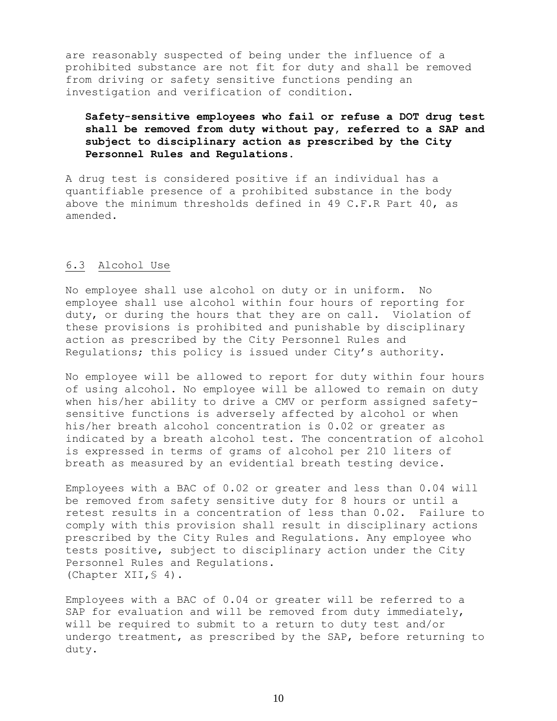are reasonably suspected of being under the influence of a prohibited substance are not fit for duty and shall be removed from driving or safety sensitive functions pending an investigation and verification of condition.

## **Safety-sensitive employees who fail or refuse a DOT drug test shall be removed from duty without pay, referred to a SAP and subject to disciplinary action as prescribed by the City Personnel Rules and Regulations.**

A drug test is considered positive if an individual has a quantifiable presence of a prohibited substance in the body above the minimum thresholds defined in 49 C.F.R Part 40, as amended.

## 6.3 Alcohol Use

No employee shall use alcohol on duty or in uniform. No employee shall use alcohol within four hours of reporting for duty, or during the hours that they are on call. Violation of these provisions is prohibited and punishable by disciplinary action as prescribed by the City Personnel Rules and Regulations; this policy is issued under City's authority.

No employee will be allowed to report for duty within four hours of using alcohol. No employee will be allowed to remain on duty when his/her ability to drive a CMV or perform assigned safetysensitive functions is adversely affected by alcohol or when his/her breath alcohol concentration is 0.02 or greater as indicated by a breath alcohol test. The concentration of alcohol is expressed in terms of grams of alcohol per 210 liters of breath as measured by an evidential breath testing device.

Employees with a BAC of 0.02 or greater and less than 0.04 will be removed from safety sensitive duty for 8 hours or until a retest results in a concentration of less than 0.02. Failure to comply with this provision shall result in disciplinary actions prescribed by the City Rules and Regulations. Any employee who tests positive, subject to disciplinary action under the City Personnel Rules and Regulations. (Chapter XII,§ 4).

Employees with a BAC of 0.04 or greater will be referred to a SAP for evaluation and will be removed from duty immediately, will be required to submit to a return to duty test and/or undergo treatment, as prescribed by the SAP, before returning to duty.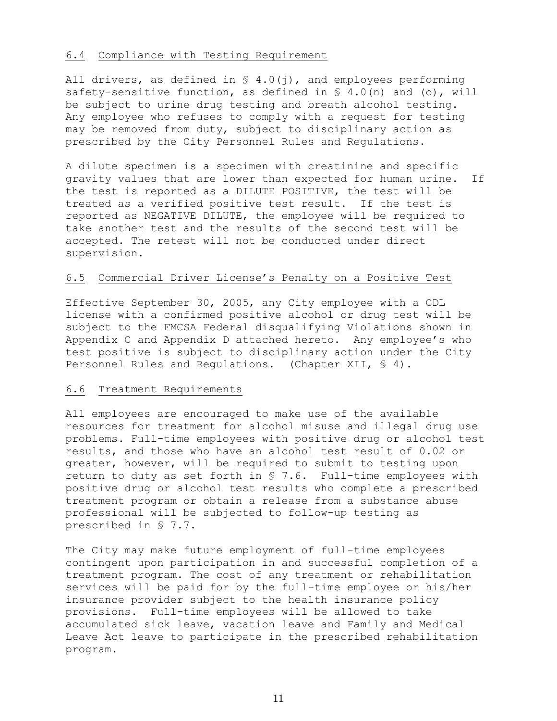## 6.4 Compliance with Testing Requirement

All drivers, as defined in  $S$  4.0(j), and employees performing safety-sensitive function, as defined in  $\S$  4.0(n) and (o), will be subject to urine drug testing and breath alcohol testing. Any employee who refuses to comply with a request for testing may be removed from duty, subject to disciplinary action as prescribed by the City Personnel Rules and Regulations.

A dilute specimen is a specimen with creatinine and specific gravity values that are lower than expected for human urine. If the test is reported as a DILUTE POSITIVE, the test will be treated as a verified positive test result. If the test is reported as NEGATIVE DILUTE, the employee will be required to take another test and the results of the second test will be accepted. The retest will not be conducted under direct supervision.

#### 6.5 Commercial Driver License's Penalty on a Positive Test

Effective September 30, 2005, any City employee with a CDL license with a confirmed positive alcohol or drug test will be subject to the FMCSA Federal disqualifying Violations shown in Appendix C and Appendix D attached hereto. Any employee's who test positive is subject to disciplinary action under the City Personnel Rules and Regulations. (Chapter XII, § 4).

#### 6.6 Treatment Requirements

All employees are encouraged to make use of the available resources for treatment for alcohol misuse and illegal drug use problems. Full-time employees with positive drug or alcohol test results, and those who have an alcohol test result of 0.02 or greater, however, will be required to submit to testing upon return to duty as set forth in § 7.6. Full-time employees with positive drug or alcohol test results who complete a prescribed treatment program or obtain a release from a substance abuse professional will be subjected to follow-up testing as prescribed in § 7.7.

The City may make future employment of full-time employees contingent upon participation in and successful completion of a treatment program. The cost of any treatment or rehabilitation services will be paid for by the full-time employee or his/her insurance provider subject to the health insurance policy provisions. Full-time employees will be allowed to take accumulated sick leave, vacation leave and Family and Medical Leave Act leave to participate in the prescribed rehabilitation program.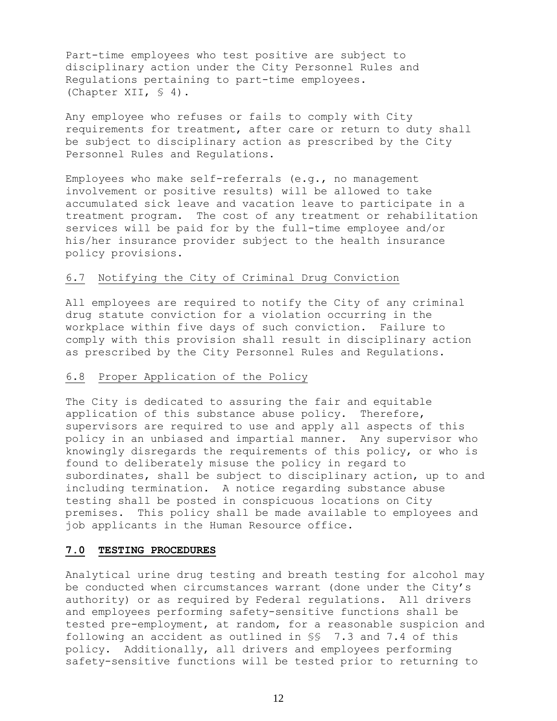Part-time employees who test positive are subject to disciplinary action under the City Personnel Rules and Regulations pertaining to part-time employees. (Chapter XII, § 4).

Any employee who refuses or fails to comply with City requirements for treatment, after care or return to duty shall be subject to disciplinary action as prescribed by the City Personnel Rules and Regulations.

Employees who make self-referrals (e.g., no management involvement or positive results) will be allowed to take accumulated sick leave and vacation leave to participate in a treatment program. The cost of any treatment or rehabilitation services will be paid for by the full-time employee and/or his/her insurance provider subject to the health insurance policy provisions.

#### 6.7 Notifying the City of Criminal Drug Conviction

All employees are required to notify the City of any criminal drug statute conviction for a violation occurring in the workplace within five days of such conviction. Failure to comply with this provision shall result in disciplinary action as prescribed by the City Personnel Rules and Regulations.

#### 6.8 Proper Application of the Policy

The City is dedicated to assuring the fair and equitable application of this substance abuse policy. Therefore, supervisors are required to use and apply all aspects of this policy in an unbiased and impartial manner. Any supervisor who knowingly disregards the requirements of this policy, or who is found to deliberately misuse the policy in regard to subordinates, shall be subject to disciplinary action, up to and including termination. A notice regarding substance abuse testing shall be posted in conspicuous locations on City premises. This policy shall be made available to employees and job applicants in the Human Resource office.

#### **7.0 TESTING PROCEDURES**

Analytical urine drug testing and breath testing for alcohol may be conducted when circumstances warrant (done under the City's authority) or as required by Federal regulations. All drivers and employees performing safety-sensitive functions shall be tested pre-employment, at random, for a reasonable suspicion and following an accident as outlined in §§ 7.3 and 7.4 of this policy. Additionally, all drivers and employees performing safety-sensitive functions will be tested prior to returning to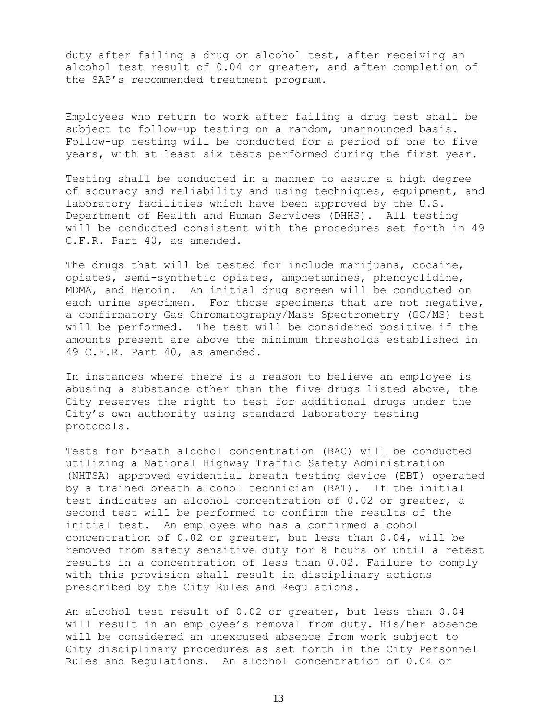duty after failing a drug or alcohol test, after receiving an alcohol test result of 0.04 or greater, and after completion of the SAP's recommended treatment program.

Employees who return to work after failing a drug test shall be subject to follow-up testing on a random, unannounced basis. Follow-up testing will be conducted for a period of one to five years, with at least six tests performed during the first year.

Testing shall be conducted in a manner to assure a high degree of accuracy and reliability and using techniques, equipment, and laboratory facilities which have been approved by the U.S. Department of Health and Human Services (DHHS). All testing will be conducted consistent with the procedures set forth in 49 C.F.R. Part 40, as amended.

The drugs that will be tested for include marijuana, cocaine, opiates, semi-synthetic opiates, amphetamines, phencyclidine, MDMA, and Heroin. An initial drug screen will be conducted on each urine specimen. For those specimens that are not negative, a confirmatory Gas Chromatography/Mass Spectrometry (GC/MS) test will be performed. The test will be considered positive if the amounts present are above the minimum thresholds established in 49 C.F.R. Part 40, as amended.

In instances where there is a reason to believe an employee is abusing a substance other than the five drugs listed above, the City reserves the right to test for additional drugs under the City's own authority using standard laboratory testing protocols.

Tests for breath alcohol concentration (BAC) will be conducted utilizing a National Highway Traffic Safety Administration (NHTSA) approved evidential breath testing device (EBT) operated by a trained breath alcohol technician (BAT). If the initial test indicates an alcohol concentration of 0.02 or greater, a second test will be performed to confirm the results of the initial test. An employee who has a confirmed alcohol concentration of 0.02 or greater, but less than 0.04, will be removed from safety sensitive duty for 8 hours or until a retest results in a concentration of less than 0.02. Failure to comply with this provision shall result in disciplinary actions prescribed by the City Rules and Regulations.

An alcohol test result of 0.02 or greater, but less than 0.04 will result in an employee's removal from duty. His/her absence will be considered an unexcused absence from work subject to City disciplinary procedures as set forth in the City Personnel Rules and Regulations. An alcohol concentration of 0.04 or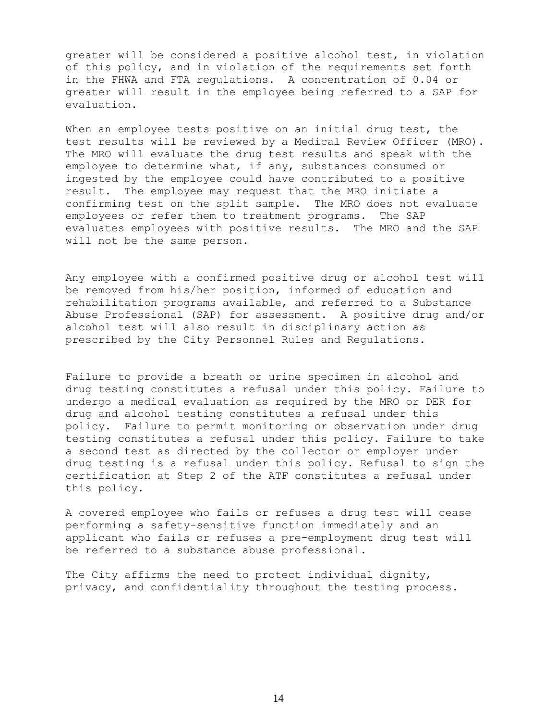greater will be considered a positive alcohol test, in violation of this policy, and in violation of the requirements set forth in the FHWA and FTA regulations. A concentration of 0.04 or greater will result in the employee being referred to a SAP for evaluation.

When an employee tests positive on an initial drug test, the test results will be reviewed by a Medical Review Officer (MRO). The MRO will evaluate the drug test results and speak with the employee to determine what, if any, substances consumed or ingested by the employee could have contributed to a positive result. The employee may request that the MRO initiate a confirming test on the split sample. The MRO does not evaluate employees or refer them to treatment programs. The SAP evaluates employees with positive results. The MRO and the SAP will not be the same person.

Any employee with a confirmed positive drug or alcohol test will be removed from his/her position, informed of education and rehabilitation programs available, and referred to a Substance Abuse Professional (SAP) for assessment. A positive drug and/or alcohol test will also result in disciplinary action as prescribed by the City Personnel Rules and Regulations.

Failure to provide a breath or urine specimen in alcohol and drug testing constitutes a refusal under this policy. Failure to undergo a medical evaluation as required by the MRO or DER for drug and alcohol testing constitutes a refusal under this policy. Failure to permit monitoring or observation under drug testing constitutes a refusal under this policy. Failure to take a second test as directed by the collector or employer under drug testing is a refusal under this policy. Refusal to sign the certification at Step 2 of the ATF constitutes a refusal under this policy.

A covered employee who fails or refuses a drug test will cease performing a safety-sensitive function immediately and an applicant who fails or refuses a pre-employment drug test will be referred to a substance abuse professional.

The City affirms the need to protect individual dignity, privacy, and confidentiality throughout the testing process.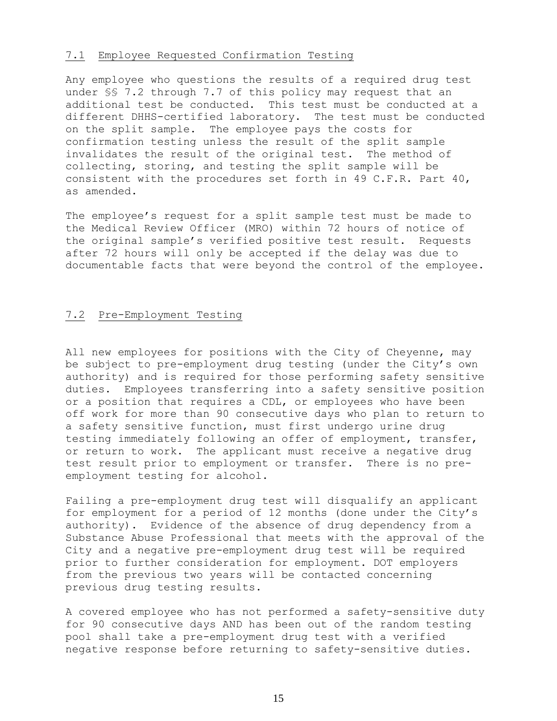### 7.1 Employee Requested Confirmation Testing

Any employee who questions the results of a required drug test under §§ 7.2 through 7.7 of this policy may request that an additional test be conducted. This test must be conducted at a different DHHS-certified laboratory. The test must be conducted on the split sample. The employee pays the costs for confirmation testing unless the result of the split sample invalidates the result of the original test. The method of collecting, storing, and testing the split sample will be consistent with the procedures set forth in 49 C.F.R. Part 40, as amended.

The employee's request for a split sample test must be made to the Medical Review Officer (MRO) within 72 hours of notice of the original sample's verified positive test result. Requests after 72 hours will only be accepted if the delay was due to documentable facts that were beyond the control of the employee.

## 7.2 Pre-Employment Testing

All new employees for positions with the City of Cheyenne, may be subject to pre-employment drug testing (under the City's own authority) and is required for those performing safety sensitive duties. Employees transferring into a safety sensitive position or a position that requires a CDL, or employees who have been off work for more than 90 consecutive days who plan to return to a safety sensitive function, must first undergo urine drug testing immediately following an offer of employment, transfer, or return to work. The applicant must receive a negative drug test result prior to employment or transfer. There is no preemployment testing for alcohol.

Failing a pre-employment drug test will disqualify an applicant for employment for a period of 12 months (done under the City's authority). Evidence of the absence of drug dependency from a Substance Abuse Professional that meets with the approval of the City and a negative pre-employment drug test will be required prior to further consideration for employment. DOT employers from the previous two years will be contacted concerning previous drug testing results.

A covered employee who has not performed a safety-sensitive duty for 90 consecutive days AND has been out of the random testing pool shall take a pre-employment drug test with a verified negative response before returning to safety-sensitive duties.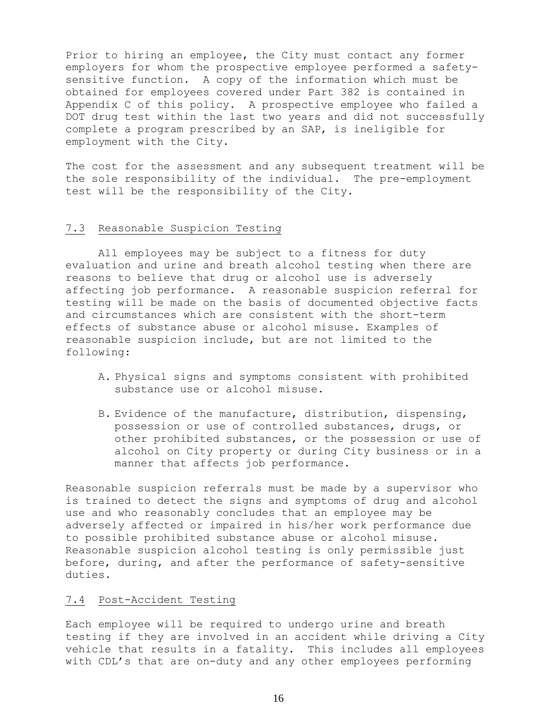Prior to hiring an employee, the City must contact any former employers for whom the prospective employee performed a safetysensitive function. A copy of the information which must be obtained for employees covered under Part 382 is contained in Appendix C of this policy. A prospective employee who failed a DOT drug test within the last two years and did not successfully complete a program prescribed by an SAP, is ineligible for employment with the City.

The cost for the assessment and any subsequent treatment will be the sole responsibility of the individual. The pre-employment test will be the responsibility of the City.

## 7.3 Reasonable Suspicion Testing

All employees may be subject to a fitness for duty evaluation and urine and breath alcohol testing when there are reasons to believe that drug or alcohol use is adversely affecting job performance. A reasonable suspicion referral for testing will be made on the basis of documented objective facts and circumstances which are consistent with the short-term effects of substance abuse or alcohol misuse. Examples of reasonable suspicion include, but are not limited to the following:

- A. Physical signs and symptoms consistent with prohibited substance use or alcohol misuse.
- B. Evidence of the manufacture, distribution, dispensing, possession or use of controlled substances, drugs, or other prohibited substances, or the possession or use of alcohol on City property or during City business or in a manner that affects job performance.

Reasonable suspicion referrals must be made by a supervisor who is trained to detect the signs and symptoms of drug and alcohol use and who reasonably concludes that an employee may be adversely affected or impaired in his/her work performance due to possible prohibited substance abuse or alcohol misuse. Reasonable suspicion alcohol testing is only permissible just before, during, and after the performance of safety-sensitive duties.

#### 7.4 Post-Accident Testing

Each employee will be required to undergo urine and breath testing if they are involved in an accident while driving a City vehicle that results in a fatality. This includes all employees with CDL's that are on-duty and any other employees performing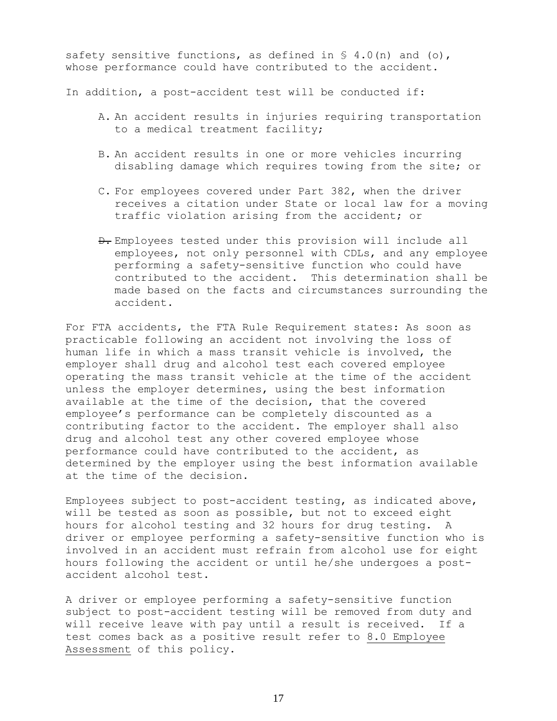safety sensitive functions, as defined in  $\S$  4.0(n) and (o), whose performance could have contributed to the accident.

In addition, a post-accident test will be conducted if:

- A. An accident results in injuries requiring transportation to a medical treatment facility;
- B. An accident results in one or more vehicles incurring disabling damage which requires towing from the site; or
- C. For employees covered under Part 382, when the driver receives a citation under State or local law for a moving traffic violation arising from the accident; or
- D. Employees tested under this provision will include all employees, not only personnel with CDLs, and any employee performing a safety-sensitive function who could have contributed to the accident. This determination shall be made based on the facts and circumstances surrounding the accident.

For FTA accidents, the FTA Rule Requirement states: As soon as practicable following an accident not involving the loss of human life in which a mass transit vehicle is involved, the employer shall drug and alcohol test each covered employee operating the mass transit vehicle at the time of the accident unless the employer determines, using the best information available at the time of the decision, that the covered employee's performance can be completely discounted as a contributing factor to the accident. The employer shall also drug and alcohol test any other covered employee whose performance could have contributed to the accident, as determined by the employer using the best information available at the time of the decision.

Employees subject to post-accident testing, as indicated above, will be tested as soon as possible, but not to exceed eight hours for alcohol testing and 32 hours for drug testing. A driver or employee performing a safety-sensitive function who is involved in an accident must refrain from alcohol use for eight hours following the accident or until he/she undergoes a postaccident alcohol test.

A driver or employee performing a safety-sensitive function subject to post-accident testing will be removed from duty and will receive leave with pay until a result is received. If a test comes back as a positive result refer to 8.0 Employee Assessment of this policy.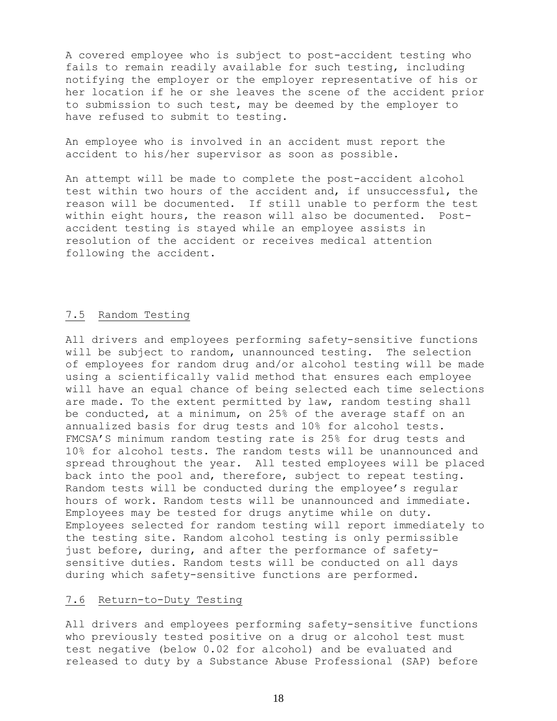A covered employee who is subject to post-accident testing who fails to remain readily available for such testing, including notifying the employer or the employer representative of his or her location if he or she leaves the scene of the accident prior to submission to such test, may be deemed by the employer to have refused to submit to testing.

An employee who is involved in an accident must report the accident to his/her supervisor as soon as possible.

An attempt will be made to complete the post-accident alcohol test within two hours of the accident and, if unsuccessful, the reason will be documented. If still unable to perform the test within eight hours, the reason will also be documented. Postaccident testing is stayed while an employee assists in resolution of the accident or receives medical attention following the accident.

## 7.5 Random Testing

All drivers and employees performing safety-sensitive functions will be subject to random, unannounced testing. The selection of employees for random drug and/or alcohol testing will be made using a scientifically valid method that ensures each employee will have an equal chance of being selected each time selections are made. To the extent permitted by law, random testing shall be conducted, at a minimum, on 25% of the average staff on an annualized basis for drug tests and 10% for alcohol tests. FMCSA'S minimum random testing rate is 25% for drug tests and 10% for alcohol tests. The random tests will be unannounced and spread throughout the year. All tested employees will be placed back into the pool and, therefore, subject to repeat testing. Random tests will be conducted during the employee's regular hours of work. Random tests will be unannounced and immediate. Employees may be tested for drugs anytime while on duty. Employees selected for random testing will report immediately to the testing site. Random alcohol testing is only permissible just before, during, and after the performance of safetysensitive duties. Random tests will be conducted on all days during which safety-sensitive functions are performed.

## 7.6 Return-to-Duty Testing

All drivers and employees performing safety-sensitive functions who previously tested positive on a drug or alcohol test must test negative (below 0.02 for alcohol) and be evaluated and released to duty by a Substance Abuse Professional (SAP) before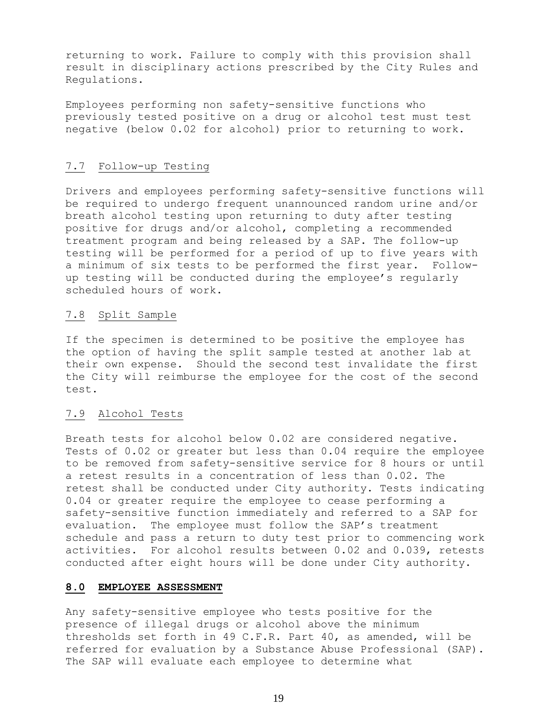returning to work. Failure to comply with this provision shall result in disciplinary actions prescribed by the City Rules and Regulations.

Employees performing non safety-sensitive functions who previously tested positive on a drug or alcohol test must test negative (below 0.02 for alcohol) prior to returning to work.

## 7.7 Follow-up Testing

Drivers and employees performing safety-sensitive functions will be required to undergo frequent unannounced random urine and/or breath alcohol testing upon returning to duty after testing positive for drugs and/or alcohol, completing a recommended treatment program and being released by a SAP. The follow-up testing will be performed for a period of up to five years with a minimum of six tests to be performed the first year. Followup testing will be conducted during the employee's regularly scheduled hours of work.

## 7.8 Split Sample

If the specimen is determined to be positive the employee has the option of having the split sample tested at another lab at their own expense. Should the second test invalidate the first the City will reimburse the employee for the cost of the second test.

#### 7.9 Alcohol Tests

Breath tests for alcohol below 0.02 are considered negative. Tests of 0.02 or greater but less than 0.04 require the employee to be removed from safety-sensitive service for 8 hours or until a retest results in a concentration of less than 0.02. The retest shall be conducted under City authority. Tests indicating 0.04 or greater require the employee to cease performing a safety-sensitive function immediately and referred to a SAP for evaluation. The employee must follow the SAP's treatment schedule and pass a return to duty test prior to commencing work activities. For alcohol results between 0.02 and 0.039, retests conducted after eight hours will be done under City authority.

#### **8.0 EMPLOYEE ASSESSMENT**

Any safety-sensitive employee who tests positive for the presence of illegal drugs or alcohol above the minimum thresholds set forth in 49 C.F.R. Part 40, as amended, will be referred for evaluation by a Substance Abuse Professional (SAP). The SAP will evaluate each employee to determine what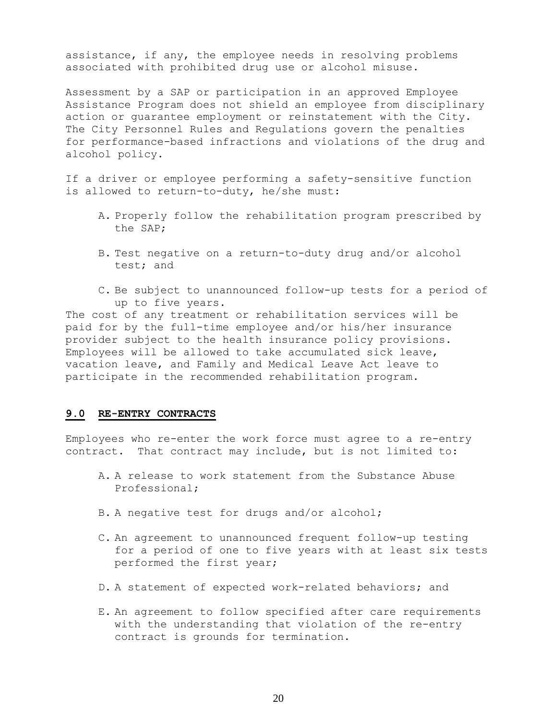assistance, if any, the employee needs in resolving problems associated with prohibited drug use or alcohol misuse.

Assessment by a SAP or participation in an approved Employee Assistance Program does not shield an employee from disciplinary action or guarantee employment or reinstatement with the City. The City Personnel Rules and Regulations govern the penalties for performance-based infractions and violations of the drug and alcohol policy.

If a driver or employee performing a safety-sensitive function is allowed to return-to-duty, he/she must:

- A. Properly follow the rehabilitation program prescribed by the SAP;
- B. Test negative on a return-to-duty drug and/or alcohol test; and
- C. Be subject to unannounced follow-up tests for a period of up to five years.

The cost of any treatment or rehabilitation services will be paid for by the full-time employee and/or his/her insurance provider subject to the health insurance policy provisions. Employees will be allowed to take accumulated sick leave, vacation leave, and Family and Medical Leave Act leave to participate in the recommended rehabilitation program.

#### **9.0 RE-ENTRY CONTRACTS**

Employees who re-enter the work force must agree to a re-entry contract. That contract may include, but is not limited to:

- A. A release to work statement from the Substance Abuse Professional;
- B. A negative test for drugs and/or alcohol;
- C. An agreement to unannounced frequent follow-up testing for a period of one to five years with at least six tests performed the first year;
- D. A statement of expected work-related behaviors; and
- E. An agreement to follow specified after care requirements with the understanding that violation of the re-entry contract is grounds for termination.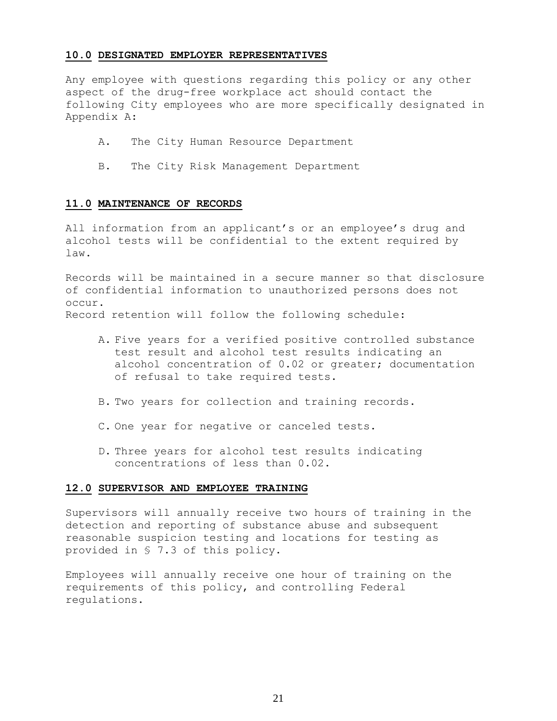#### **10.0 DESIGNATED EMPLOYER REPRESENTATIVES**

Any employee with questions regarding this policy or any other aspect of the drug-free workplace act should contact the following City employees who are more specifically designated in Appendix A:

- A. The City Human Resource Department
- B. The City Risk Management Department

### **11.0 MAINTENANCE OF RECORDS**

All information from an applicant's or an employee's drug and alcohol tests will be confidential to the extent required by law.

Records will be maintained in a secure manner so that disclosure of confidential information to unauthorized persons does not occur. Record retention will follow the following schedule:

- A. Five years for a verified positive controlled substance test result and alcohol test results indicating an alcohol concentration of 0.02 or greater; documentation of refusal to take required tests.
- B. Two years for collection and training records.
- C. One year for negative or canceled tests.
- D. Three years for alcohol test results indicating concentrations of less than 0.02.

#### **12.0 SUPERVISOR AND EMPLOYEE TRAINING**

Supervisors will annually receive two hours of training in the detection and reporting of substance abuse and subsequent reasonable suspicion testing and locations for testing as provided in § 7.3 of this policy.

Employees will annually receive one hour of training on the requirements of this policy, and controlling Federal regulations.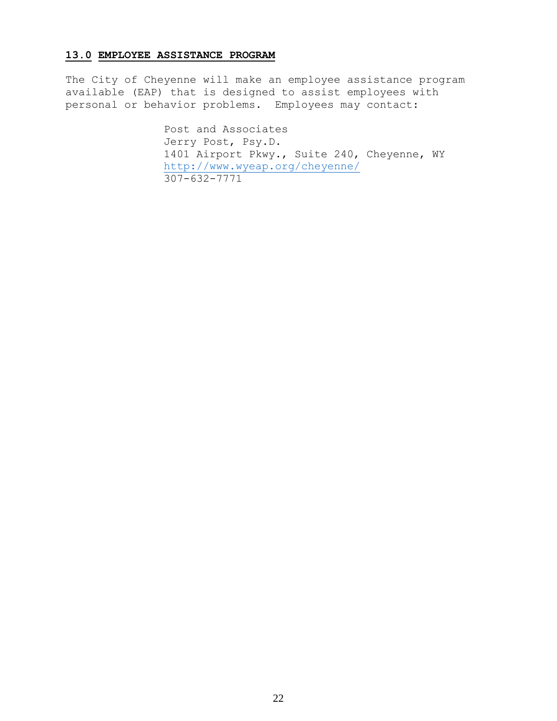## **13.0 EMPLOYEE ASSISTANCE PROGRAM**

The City of Cheyenne will make an employee assistance program available (EAP) that is designed to assist employees with personal or behavior problems. Employees may contact:

> Post and Associates Jerry Post, Psy.D. 1401 Airport Pkwy., Suite 240, Cheyenne, WY <http://www.wyeap.org/cheyenne/> 307-632-7771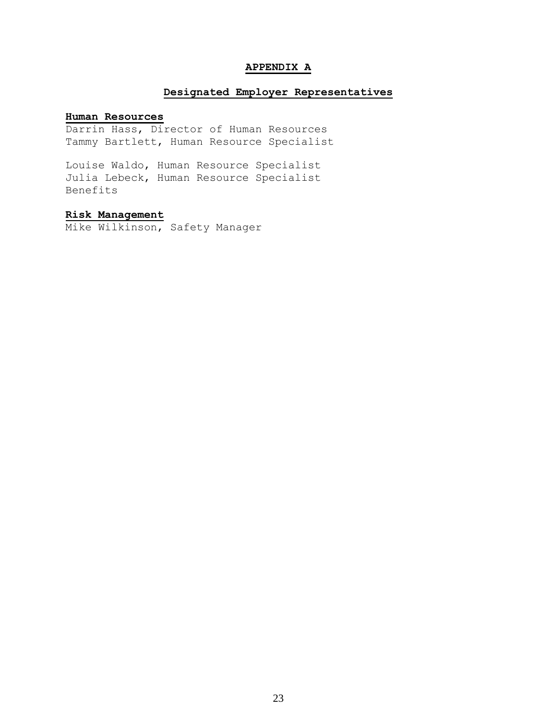### **APPENDIX A**

## **Designated Employer Representatives**

#### **Human Resources**

Darrin Hass, Director of Human Resources Tammy Bartlett, Human Resource Specialist

Louise Waldo, Human Resource Specialist Julia Lebeck, Human Resource Specialist Benefits

## **Risk Management**

Mike Wilkinson, Safety Manager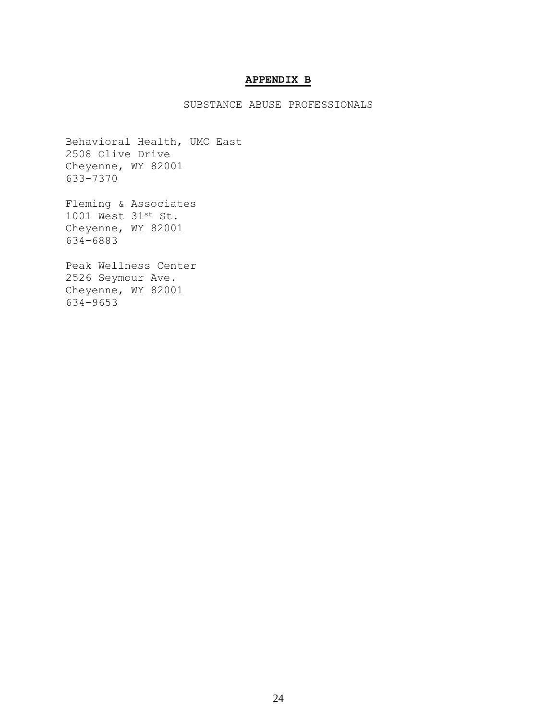## **APPENDIX B**

SUBSTANCE ABUSE PROFESSIONALS

Behavioral Health, UMC East 2508 Olive Drive Cheyenne, WY 82001 633-7370

Fleming & Associates 1001 West 31st St. Cheyenne, WY 82001 634-6883

Peak Wellness Center 2526 Seymour Ave. Cheyenne, WY 82001 634-9653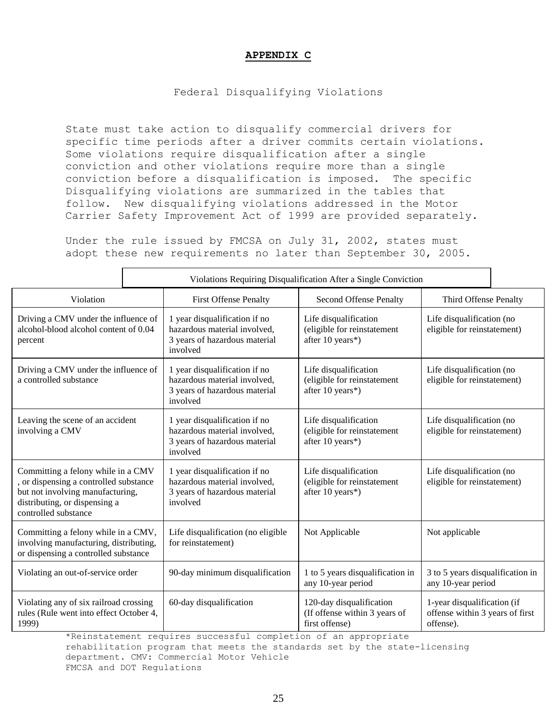## **APPENDIX C**

## Federal Disqualifying Violations

State must take action to disqualify commercial drivers for specific time periods after a driver commits certain violations. Some violations require disqualification after a single conviction and other violations require more than a single conviction before a disqualification is imposed. The specific Disqualifying violations are summarized in the tables that follow. New disqualifying violations addressed in the Motor Carrier Safety Improvement Act of 1999 are provided separately.

Under the rule issued by FMCSA on July 31, 2002, states must adopt these new requirements no later than September 30, 2005.

|                                                                                                                                                                           | Violations Requiring Disqualification After a Single Conviction |                                                                                                            |                                                                             |                                                                             |  |
|---------------------------------------------------------------------------------------------------------------------------------------------------------------------------|-----------------------------------------------------------------|------------------------------------------------------------------------------------------------------------|-----------------------------------------------------------------------------|-----------------------------------------------------------------------------|--|
| Violation                                                                                                                                                                 |                                                                 | <b>First Offense Penalty</b>                                                                               | Second Offense Penalty                                                      | Third Offense Penalty                                                       |  |
| Driving a CMV under the influence of<br>alcohol-blood alcohol content of 0.04<br>percent                                                                                  |                                                                 | 1 year disqualification if no<br>hazardous material involved,<br>3 years of hazardous material<br>involved | Life disqualification<br>(eligible for reinstatement<br>after 10 years*)    | Life disqualification (no<br>eligible for reinstatement)                    |  |
| Driving a CMV under the influence of<br>a controlled substance                                                                                                            |                                                                 | 1 year disqualification if no<br>hazardous material involved,<br>3 years of hazardous material<br>involved | Life disqualification<br>(eligible for reinstatement<br>after 10 years*)    | Life disqualification (no<br>eligible for reinstatement)                    |  |
| Leaving the scene of an accident<br>involving a CMV                                                                                                                       |                                                                 | 1 year disqualification if no<br>hazardous material involved,<br>3 years of hazardous material<br>involved | Life disqualification<br>(eligible for reinstatement<br>after 10 years*)    | Life disqualification (no<br>eligible for reinstatement)                    |  |
| Committing a felony while in a CMV<br>, or dispensing a controlled substance<br>but not involving manufacturing,<br>distributing, or dispensing a<br>controlled substance |                                                                 | 1 year disqualification if no<br>hazardous material involved,<br>3 years of hazardous material<br>involved | Life disqualification<br>(eligible for reinstatement<br>after 10 years*)    | Life disqualification (no<br>eligible for reinstatement)                    |  |
| Committing a felony while in a CMV,<br>involving manufacturing, distributing,<br>or dispensing a controlled substance                                                     |                                                                 | Life disqualification (no eligible<br>for reinstatement)                                                   | Not Applicable                                                              | Not applicable                                                              |  |
| Violating an out-of-service order                                                                                                                                         |                                                                 | 90-day minimum disqualification                                                                            | 1 to 5 years disqualification in<br>any 10-year period                      | 3 to 5 years disqualification in<br>any 10-year period                      |  |
| Violating any of six railroad crossing<br>rules (Rule went into effect October 4,<br>1999)                                                                                |                                                                 | 60-day disqualification                                                                                    | 120-day disqualification<br>(If offense within 3 years of<br>first offense) | 1-year disqualification (if<br>offense within 3 years of first<br>offense). |  |

\*Reinstatement requires successful completion of an appropriate rehabilitation program that meets the standards set by the state-licensing

department. CMV: Commercial Motor Vehicle

FMCSA and DOT Regulations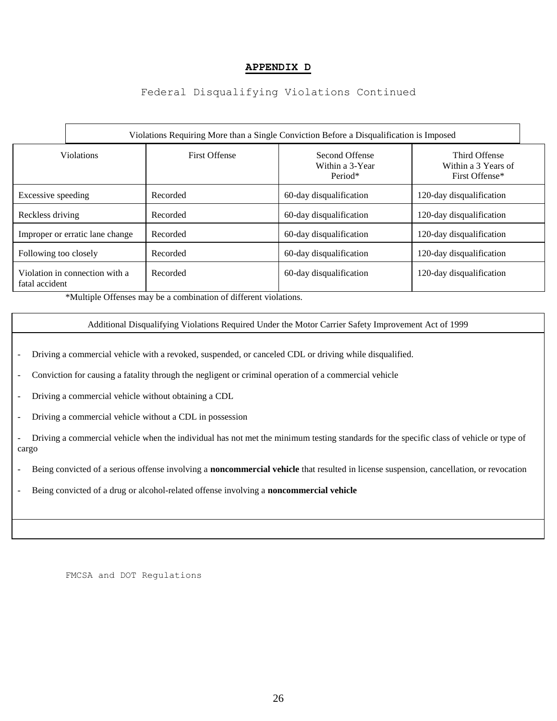## **APPENDIX D**

## Federal Disqualifying Violations Continued

|                                 | Violations Requiring More than a Single Conviction Before a Disqualification is Imposed |                      |                                              |                                                        |  |
|---------------------------------|-----------------------------------------------------------------------------------------|----------------------|----------------------------------------------|--------------------------------------------------------|--|
| <b>Violations</b>               |                                                                                         | <b>First Offense</b> | Second Offense<br>Within a 3-Year<br>Period* | Third Offense<br>Within a 3 Years of<br>First Offense* |  |
| Excessive speeding              |                                                                                         | Recorded             | 60-day disqualification                      | 120-day disqualification                               |  |
| Reckless driving                |                                                                                         | Recorded             | 60-day disqualification                      | 120-day disqualification                               |  |
| Improper or erratic lane change |                                                                                         | Recorded             | 60-day disqualification                      | 120-day disqualification                               |  |
| Following too closely           |                                                                                         | Recorded             | 60-day disqualification                      | 120-day disqualification                               |  |
| fatal accident                  | Violation in connection with a                                                          | Recorded             | 60-day disqualification                      | 120-day disqualification                               |  |

\*Multiple Offenses may be a combination of different violations.

#### Additional Disqualifying Violations Required Under the Motor Carrier Safety Improvement Act of 1999

- Driving a commercial vehicle with a revoked, suspended, or canceled CDL or driving while disqualified.
- Conviction for causing a fatality through the negligent or criminal operation of a commercial vehicle
- Driving a commercial vehicle without obtaining a CDL
- Driving a commercial vehicle without a CDL in possession
- Driving a commercial vehicle when the individual has not met the minimum testing standards for the specific class of vehicle or type of cargo
- Being convicted of a serious offense involving a **noncommercial vehicle** that resulted in license suspension, cancellation, or revocation
- Being convicted of a drug or alcohol-related offense involving a **noncommercial vehicle**

FMCSA and DOT Regulations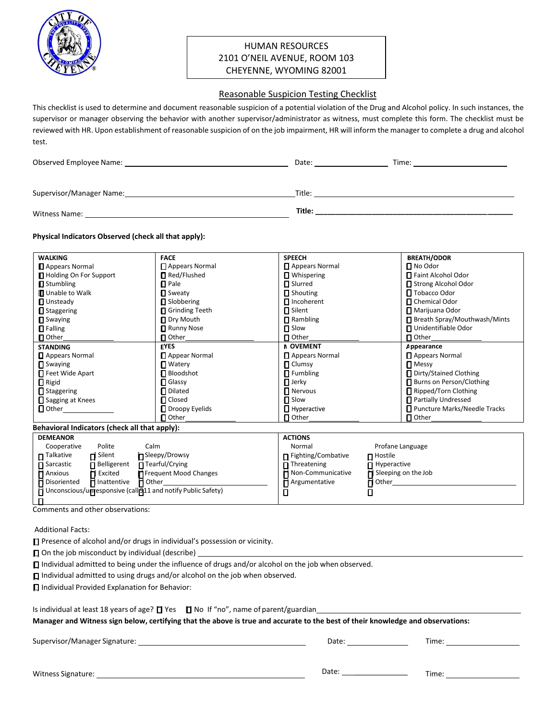

## HUMAN RESOURCES 2101 O'NEIL AVENUE, ROOM 103 CHEYENNE, WYOMING 82001

#### Reasonable Suspicion Testing Checklist

This checklist is used to determine and document reasonable suspicion of a potential violation of the Drug and Alcohol policy. In such instances, the supervisor or manager observing the behavior with another supervisor/administrator as witness, must complete this form. The checklist must be reviewed with HR. Upon establishment of reasonable suspicion of on the job impairment, HR will inform the manager to complete a drug and alcohol test.

| Observed Employee Name:  | Date:  | Time: |
|--------------------------|--------|-------|
| Supervisor/Manager Name: | Title: |       |
| Witness Name:            | Title: |       |

#### **Physical Indicators Observed (check all that apply):**

| <b>WALKING</b>                                | <b>FACE</b>            | <b>SPEECH</b>         | <b>BREATH/ODOR</b>             |  |
|-----------------------------------------------|------------------------|-----------------------|--------------------------------|--|
| Appears Normal                                | $\Box$ Appears Normal  | Appears Normal        | $\Box$ No Odor                 |  |
| Holding On For Support                        | Red/Flushed            | $\P$ Whispering       | □ Faint Alcohol Odor           |  |
| $\blacksquare$ Stumbling                      | $\blacksquare$ Pale    | <b>□</b> Slurred      | □ Strong Alcohol Odor          |  |
| <b>D</b> Unable to Walk                       | <b>□</b> Sweaty        | $\Box$ Shouting       | □ Tobacco Odor                 |  |
| <b>U</b> Unsteady                             | Slobbering             | $\Box$ Incoherent     | □ Chemical Odor                |  |
| <b>□</b> Staggering                           | Grinding Teeth         | <b>□</b> Silent       | Marijuana Odor                 |  |
| $\blacksquare$ Swaying                        | Dry Mouth              | $\P$ Rambling         | □ Breath Spray/Mouthwash/Mints |  |
| $\Box$ Falling                                | Runny Nose             | □ Slow                | □ Unidentifiable Odor          |  |
| <b>□</b> Other                                | <b>□</b> Other         | $\P$ Other            | $\blacksquare$ Other           |  |
| <b>STANDING</b>                               | <b>EYES</b>            | <b>N OVEMENT</b>      | Appearance                     |  |
| Appears Normal                                | Appear Normal          | Appears Normal        | Appears Normal                 |  |
| $\blacksquare$ Swaying                        | $\blacksquare$ Watery  | $\blacksquare$ Clumsy | $\blacksquare$ Messy           |  |
| Feet Wide Apart                               | Bloodshot              | $\Box$ Fumbling       | □ Dirty/Stained Clothing       |  |
| $\Box$ Rigid                                  | <b>□</b> Glassy        | $\Box$ Jerky          | Burns on Person/Clothing       |  |
| $\Box$ Staggering                             | $\blacksquare$ Dilated | <b>Nervous</b>        | Ripped/Torn Clothing           |  |
| Sagging at Knees                              | <b>□</b> Closed        | □ Slow                | Partially Undressed            |  |
| $\Box$ Other                                  | □ Droopy Eyelids       | $\Box$ Hyperactive    | □ Puncture Marks/Needle Tracks |  |
|                                               | $\blacksquare$ Other   | $\blacksquare$ Other  | $\blacksquare$ Other           |  |
| Behavioral Indicators (check all that apply): |                        |                       |                                |  |

|                                                                     | <b>DEMEANOR</b>          |                            |                                 | <b>ACTIONS</b>             |                                              |
|---------------------------------------------------------------------|--------------------------|----------------------------|---------------------------------|----------------------------|----------------------------------------------|
|                                                                     | Cooperative              | Polite                     | Calm                            | Normal                     | Profane Language                             |
|                                                                     | $\blacksquare$ Talkative | $\blacksquare$ Silent      | ■ Sleepy/Drowsy                 | □ Fighting/Combative       | $\blacksquare$ Hostile                       |
|                                                                     | <b>□</b> Sarcastic       | $\blacksquare$ Belligerent | $\overline{\Pi}$ Tearful/Crying | $\blacksquare$ Threatening | <b><math>\blacksquare</math></b> Hyperactive |
|                                                                     | <b>H</b> Anxious         | <b>id</b> Excited          | <b>T</b> Frequent Mood Changes  | <b>H</b> Non-Communicative | $\blacksquare$ Sleeping on the Job           |
|                                                                     | <b>n</b> Disoriented     | <b>n</b> Inattentive       | $\blacksquare$ Other            | <b>n</b> Argumentative     | $\blacksquare$ Other                         |
| $\Box$ Unconscious/unresponsive (call 911 and notify Public Safety) |                          |                            |                                 |                            |                                              |
|                                                                     |                          |                            |                                 |                            |                                              |

Comments and other observations:

Additional Facts:

□ Presence of alcohol and/or drugs in individual's possession or vicinity.

 $\Box$  On the job misconduct by individual (describe)

□ Individual admitted to being under the influence of drugs and/or alcohol on the job when observed.

□ Individual admitted to using drugs and/or alcohol on the job when observed.

[ ] Individual Provided Explanation for Behavior:

Is individual at least 18 years of age?  $\square$  Yes  $\square$  No If "no", name of parent/guardian

**Manager and Witness sign below, certifying that the above is true and accurate to the best of their knowledge and observations:**

Supervisor/Manager Signature: Note and Supervisor/Manager Signature: Note and Supervisor Date: Time: Time: Time: Time: Time: Note and Supervisor/Manager Signature: Note and Supervisor Analysis of the Supervisor Analysis of

Witness Signature: Date: \_\_\_\_\_\_\_\_\_\_\_\_\_ Time: